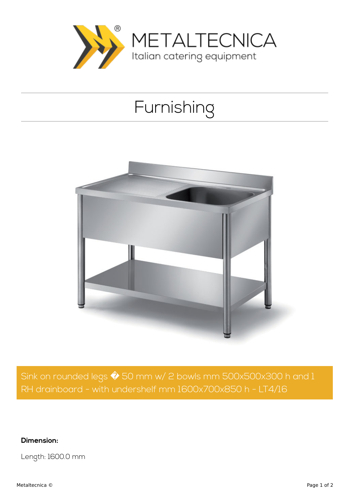

## Furnishing



Sink on rounded legs  $\hat{\blacklozenge}$  50 mm w/ 2 bowls mm 500x500x300 h and 1 RH drainboard - with undershelf mm 1600x700x850 h - LT4/16

**Dimension:**

Length: 1600.0 mm